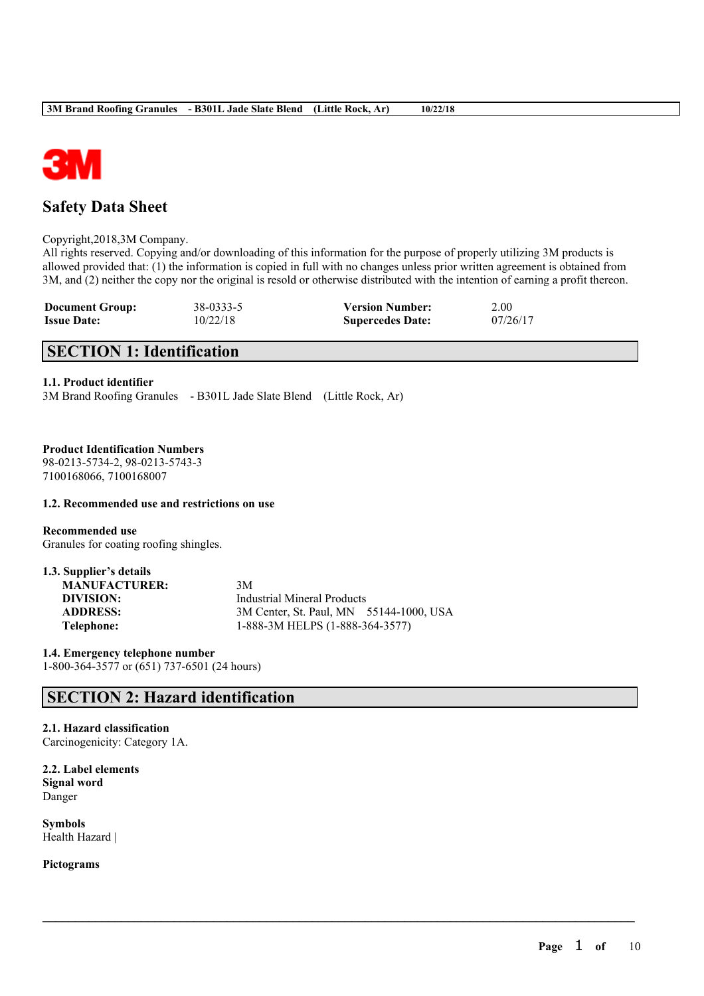

# **Safety Data Sheet**

Copyright,2018,3M Company.

All rights reserved. Copying and/or downloading of this information for the purpose of properly utilizing 3M products is allowed provided that: (1) the information is copied in full with no changes unless prior written agreement is obtained from 3M, and (2) neither the copy nor the original is resold or otherwise distributed with the intention of earning a profit thereon.

 $\mathcal{L}_\mathcal{L} = \mathcal{L}_\mathcal{L} = \mathcal{L}_\mathcal{L} = \mathcal{L}_\mathcal{L} = \mathcal{L}_\mathcal{L} = \mathcal{L}_\mathcal{L} = \mathcal{L}_\mathcal{L} = \mathcal{L}_\mathcal{L} = \mathcal{L}_\mathcal{L} = \mathcal{L}_\mathcal{L} = \mathcal{L}_\mathcal{L} = \mathcal{L}_\mathcal{L} = \mathcal{L}_\mathcal{L} = \mathcal{L}_\mathcal{L} = \mathcal{L}_\mathcal{L} = \mathcal{L}_\mathcal{L} = \mathcal{L}_\mathcal{L}$ 

| <b>Document Group:</b> | 38-0333-5 | <b>Version Number:</b>  | 2.00     |
|------------------------|-----------|-------------------------|----------|
| <b>Issue Date:</b>     | 10/22/18  | <b>Supercedes Date:</b> | 07/26/17 |

# **SECTION 1: Identification**

# **1.1. Product identifier**

3M Brand Roofing Granules - B301L Jade Slate Blend (Little Rock, Ar)

# **Product Identification Numbers**

98-0213-5734-2, 98-0213-5743-3 7100168066, 7100168007

### **1.2. Recommended use and restrictions on use**

**Recommended use** Granules for coating roofing shingles.

| 1.3. Supplier's details |                                         |
|-------------------------|-----------------------------------------|
| <b>MANUFACTURER:</b>    | 3M                                      |
| DIVISION:               | Industrial Mineral Products             |
| <b>ADDRESS:</b>         | 3M Center, St. Paul, MN 55144-1000, USA |
| Telephone:              | 1-888-3M HELPS (1-888-364-3577)         |

**1.4. Emergency telephone number** 1-800-364-3577 or (651) 737-6501 (24 hours)

# **SECTION 2: Hazard identification**

# **2.1. Hazard classification**

Carcinogenicity: Category 1A.

**2.2. Label elements Signal word** Danger

**Symbols** Health Hazard |

**Pictograms**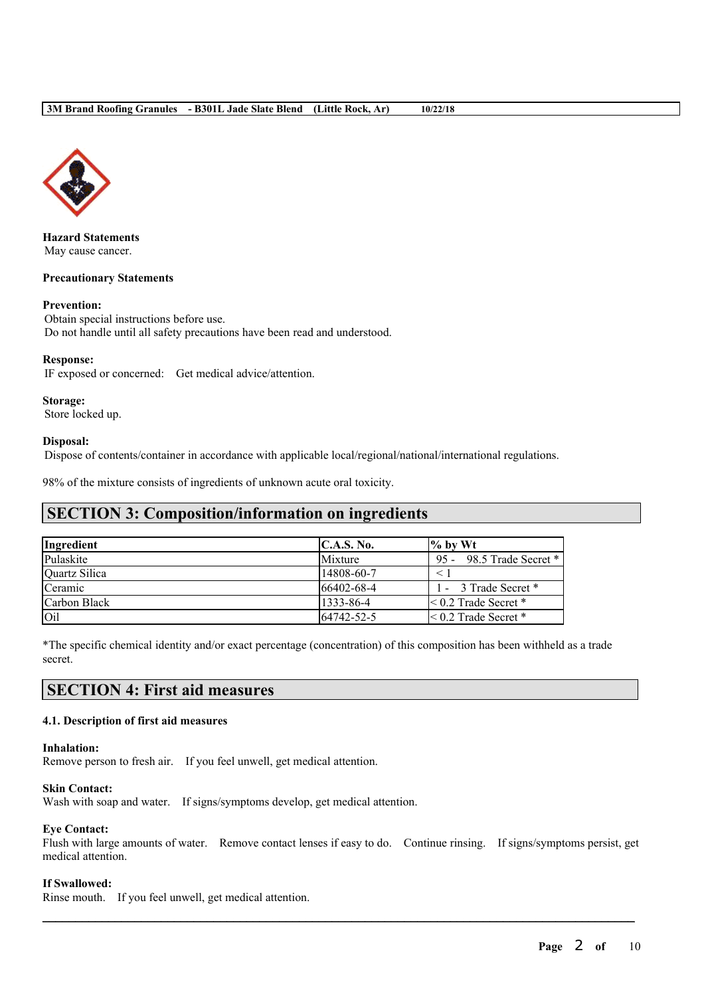

**Hazard Statements** May cause cancer.

#### **Precautionary Statements**

#### **Prevention:**

Obtain special instructions before use. Do not handle until all safety precautions have been read and understood.

#### **Response:**

IF exposed or concerned: Get medical advice/attention.

**Storage:** Store locked up.

#### **Disposal:**

Dispose of contents/container in accordance with applicable local/regional/national/international regulations.

98% of the mixture consists of ingredients of unknown acute oral toxicity.

# **SECTION 3: Composition/information on ingredients**

| Ingredient    | C.A.S. No.     | $\%$ by Wt                |
|---------------|----------------|---------------------------|
| Pulaskite     | <b>Mixture</b> | 95 - 98.5 Trade Secret *  |
| Quartz Silica | 14808-60-7     |                           |
| Ceramic       | 66402-68-4     | 1 - 3 Trade Secret *      |
| Carbon Black  | 1333-86-4      | $\leq 0.2$ Trade Secret * |
| <b>Oil</b>    | 64742-52-5     | $\leq 0.2$ Trade Secret * |

\*The specific chemical identity and/or exact percentage (concentration) of this composition has been withheld as a trade secret.

# **SECTION 4: First aid measures**

### **4.1. Description of first aid measures**

#### **Inhalation:**

Remove person to fresh air. If you feel unwell, get medical attention.

### **Skin Contact:**

Wash with soap and water. If signs/symptoms develop, get medical attention.

### **Eye Contact:**

Flush with large amounts of water. Remove contact lenses if easy to do. Continue rinsing. If signs/symptoms persist, get medical attention.

 $\mathcal{L}_\mathcal{L} = \mathcal{L}_\mathcal{L} = \mathcal{L}_\mathcal{L} = \mathcal{L}_\mathcal{L} = \mathcal{L}_\mathcal{L} = \mathcal{L}_\mathcal{L} = \mathcal{L}_\mathcal{L} = \mathcal{L}_\mathcal{L} = \mathcal{L}_\mathcal{L} = \mathcal{L}_\mathcal{L} = \mathcal{L}_\mathcal{L} = \mathcal{L}_\mathcal{L} = \mathcal{L}_\mathcal{L} = \mathcal{L}_\mathcal{L} = \mathcal{L}_\mathcal{L} = \mathcal{L}_\mathcal{L} = \mathcal{L}_\mathcal{L}$ 

#### **If Swallowed:**

Rinse mouth. If you feel unwell, get medical attention.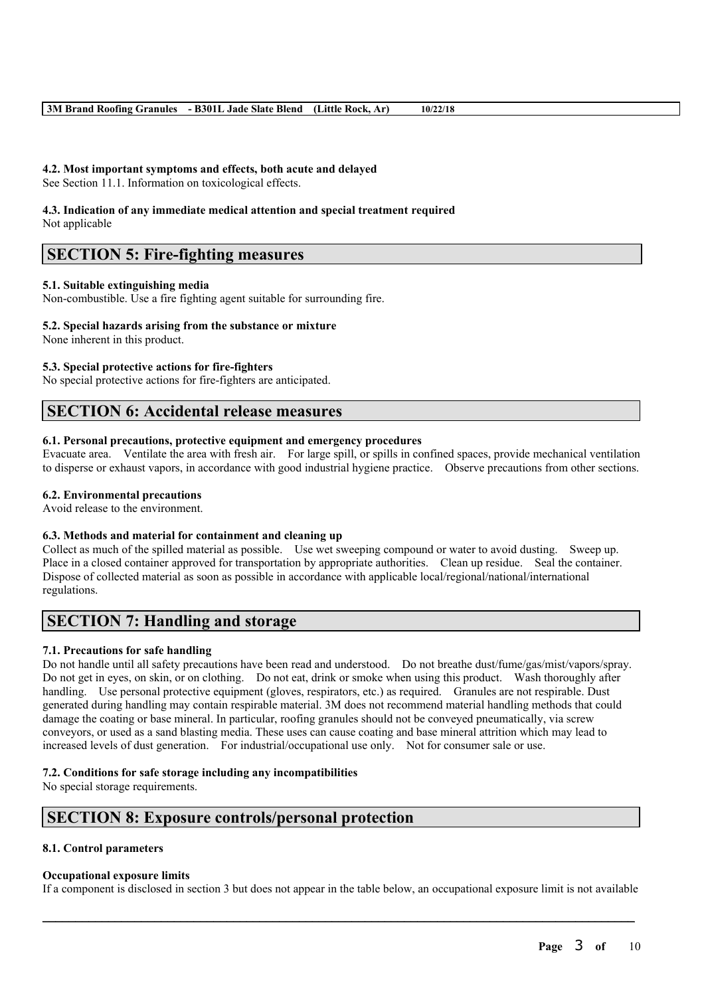### **4.2. Most important symptoms and effects, both acute and delayed**

See Section 11.1. Information on toxicological effects.

#### **4.3. Indication of any immediate medical attention and special treatment required** Not applicable

# **SECTION 5: Fire-fighting measures**

### **5.1. Suitable extinguishing media**

Non-combustible. Use a fire fighting agent suitable for surrounding fire.

#### **5.2. Special hazards arising from the substance or mixture**

None inherent in this product.

# **5.3. Special protective actions for fire-fighters**

No special protective actions for fire-fighters are anticipated.

# **SECTION 6: Accidental release measures**

### **6.1. Personal precautions, protective equipment and emergency procedures**

Evacuate area. Ventilate the area with fresh air. For large spill, or spills in confined spaces, provide mechanical ventilation to disperse or exhaust vapors, in accordance with good industrial hygiene practice. Observe precautions from other sections.

### **6.2. Environmental precautions**

Avoid release to the environment.

### **6.3. Methods and material for containment and cleaning up**

Collect as much of the spilled material as possible. Use wet sweeping compound or water to avoid dusting. Sweep up. Place in a closed container approved for transportation by appropriate authorities. Clean up residue. Seal the container. Dispose of collected material as soon as possible in accordance with applicable local/regional/national/international regulations.

# **SECTION 7: Handling and storage**

### **7.1. Precautions for safe handling**

Do not handle until all safety precautions have been read and understood. Do not breathe dust/fume/gas/mist/vapors/spray. Do not get in eyes, on skin, or on clothing. Do not eat, drink or smoke when using this product. Wash thoroughly after handling. Use personal protective equipment (gloves, respirators, etc.) as required. Granules are not respirable. Dust generated during handling may contain respirable material. 3M does not recommend material handling methods that could damage the coating or base mineral. In particular, roofing granules should not be conveyed pneumatically, via screw conveyors, or used as a sand blasting media. These uses can cause coating and base mineral attrition which may lead to increased levels of dust generation. For industrial/occupational use only. Not for consumer sale or use.

### **7.2. Conditions for safe storage including any incompatibilities**

No special storage requirements.

# **SECTION 8: Exposure controls/personal protection**

### **8.1. Control parameters**

### **Occupational exposure limits**

If a component is disclosed in section 3 but does not appear in the table below, an occupational exposure limit is not available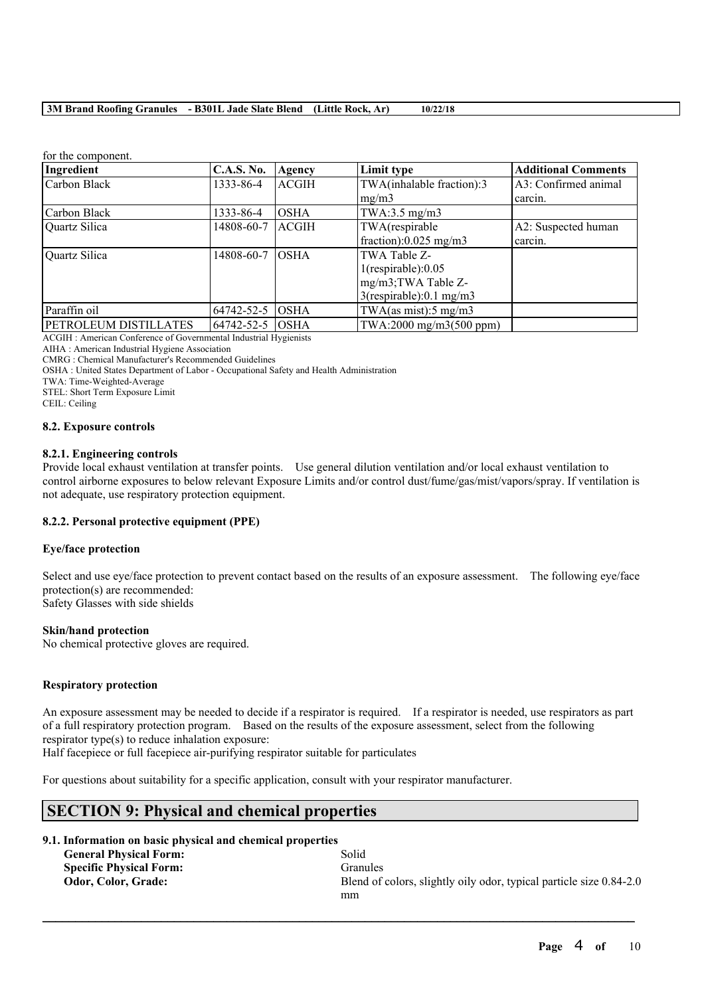| TOT THE COMPOSITION.         |                   |              |                                  |                            |
|------------------------------|-------------------|--------------|----------------------------------|----------------------------|
| Ingredient                   | <b>C.A.S. No.</b> | Agency       | Limit type                       | <b>Additional Comments</b> |
| Carbon Black                 | 1333-86-4         | <b>ACGIH</b> | TWA(inhalable fraction):3        | A3: Confirmed animal       |
|                              |                   |              | mg/m3                            | carcin.                    |
| Carbon Black                 | 1333-86-4         | <b>OSHA</b>  | TWA: $3.5 \text{ mg/m}$ 3        |                            |
| Quartz Silica                | 14808-60-7        | ACGIH        | TWA(respirable                   | A2: Suspected human        |
|                              |                   |              | fraction): $0.025$ mg/m3         | carcin.                    |
| Quartz Silica                | 14808-60-7        | <b>OSHA</b>  | TWA Table Z-                     |                            |
|                              |                   |              | $1$ (respirable): $0.05$         |                            |
|                              |                   |              | mg/m3;TWA Table Z-               |                            |
|                              |                   |              | $3$ (respirable):0.1 mg/m3       |                            |
| Paraffin oil                 | 64742-52-5        | <b>OSHA</b>  | TWA(as mist): $5 \text{ mg/m}$ 3 |                            |
| <b>PETROLEUM DISTILLATES</b> | 64742-52-5 OSHA   |              | TWA:2000 mg/m3(500 ppm)          |                            |

for the component.

ACGIH : American Conference of Governmental Industrial Hygienists

AIHA : American Industrial Hygiene Association

CMRG : Chemical Manufacturer's Recommended Guidelines

OSHA : United States Department of Labor - Occupational Safety and Health Administration

TWA: Time-Weighted-Average

STEL: Short Term Exposure Limit

CEIL: Ceiling

#### **8.2. Exposure controls**

#### **8.2.1. Engineering controls**

Provide local exhaust ventilation at transfer points. Use general dilution ventilation and/or local exhaust ventilation to control airborne exposures to below relevant Exposure Limits and/or control dust/fume/gas/mist/vapors/spray. If ventilation is not adequate, use respiratory protection equipment.

### **8.2.2. Personal protective equipment (PPE)**

### **Eye/face protection**

Select and use eye/face protection to prevent contact based on the results of an exposure assessment. The following eye/face protection(s) are recommended: Safety Glasses with side shields

### **Skin/hand protection**

No chemical protective gloves are required.

### **Respiratory protection**

An exposure assessment may be needed to decide if a respirator is required. If a respirator is needed, use respirators as part of a full respiratory protection program. Based on the results of the exposure assessment, select from the following respirator type(s) to reduce inhalation exposure:

 $\mathcal{L}_\mathcal{L} = \mathcal{L}_\mathcal{L} = \mathcal{L}_\mathcal{L} = \mathcal{L}_\mathcal{L} = \mathcal{L}_\mathcal{L} = \mathcal{L}_\mathcal{L} = \mathcal{L}_\mathcal{L} = \mathcal{L}_\mathcal{L} = \mathcal{L}_\mathcal{L} = \mathcal{L}_\mathcal{L} = \mathcal{L}_\mathcal{L} = \mathcal{L}_\mathcal{L} = \mathcal{L}_\mathcal{L} = \mathcal{L}_\mathcal{L} = \mathcal{L}_\mathcal{L} = \mathcal{L}_\mathcal{L} = \mathcal{L}_\mathcal{L}$ 

Half facepiece or full facepiece air-purifying respirator suitable for particulates

For questions about suitability for a specific application, consult with your respirator manufacturer.

# **SECTION 9: Physical and chemical properties**

**9.1. Information on basic physical and chemical properties**

**General Physical Form:** Solid **Specific Physical Form:** Granules

**Odor, Color, Grade:** Blend of colors, slightly oily odor, typical particle size 0.84-2.0 mm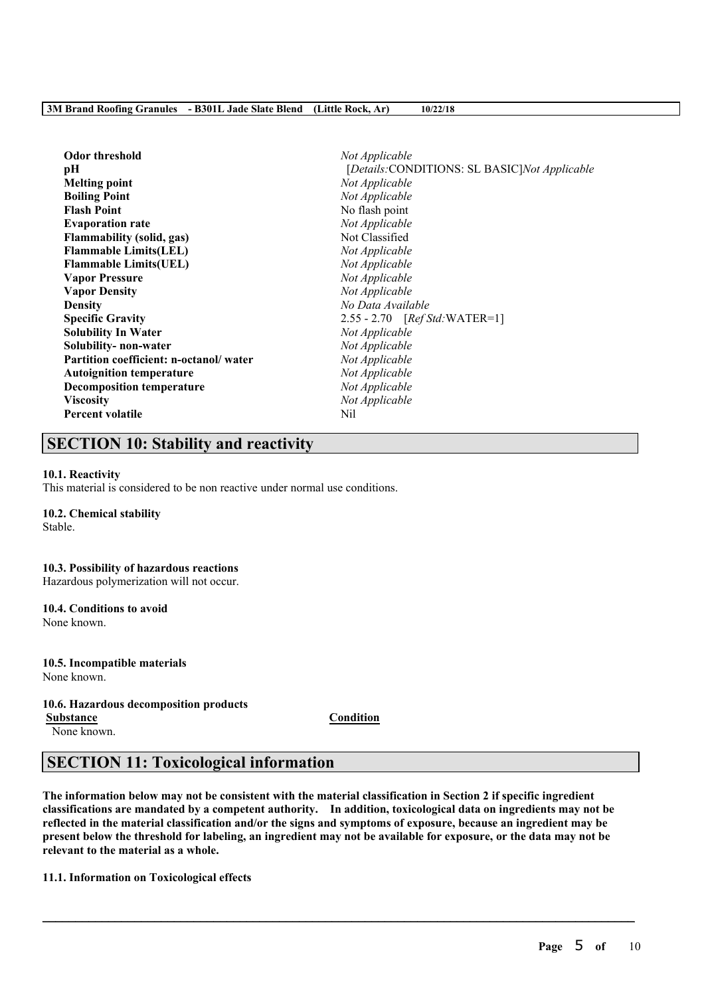| <b>Odor threshold</b>                  | Not Applicable                               |
|----------------------------------------|----------------------------------------------|
| pН                                     | [Details:CONDITIONS: SL BASIC]Not Applicable |
| <b>Melting point</b>                   | Not Applicable                               |
| <b>Boiling Point</b>                   | Not Applicable                               |
| <b>Flash Point</b>                     | No flash point                               |
| <b>Evaporation rate</b>                | Not Applicable                               |
| <b>Flammability (solid, gas)</b>       | Not Classified                               |
| <b>Flammable Limits(LEL)</b>           | Not Applicable                               |
| <b>Flammable Limits(UEL)</b>           | Not Applicable                               |
| <b>Vapor Pressure</b>                  | Not Applicable                               |
| <b>Vapor Density</b>                   | Not Applicable                               |
| <b>Density</b>                         | No Data Available                            |
| <b>Specific Gravity</b>                | 2.55 - 2.70 [Ref Std: WATER=1]               |
| <b>Solubility In Water</b>             | Not Applicable                               |
| Solubility- non-water                  | Not Applicable                               |
| Partition coefficient: n-octanol/water | Not Applicable                               |
| <b>Autoignition temperature</b>        | Not Applicable                               |
| <b>Decomposition temperature</b>       | Not Applicable                               |
| <b>Viscosity</b>                       | Not Applicable                               |
| <b>Percent volatile</b>                | Nil                                          |
|                                        |                                              |

# **SECTION 10: Stability and reactivity**

#### **10.1. Reactivity**

This material is considered to be non reactive under normal use conditions.

### **10.2. Chemical stability**

Stable.

#### **10.3. Possibility of hazardous reactions**

Hazardous polymerization will not occur.

#### **10.4. Conditions to avoid**

None known.

# **10.5. Incompatible materials**

None known.

### **10.6. Hazardous decomposition products**

None known.

**Substance Condition**

# **SECTION 11: Toxicological information**

The information below may not be consistent with the material classification in Section 2 if specific ingredient **classifications are mandated by a competent authority. In addition, toxicological data on ingredients may not be** reflected in the material classification and/or the signs and symptoms of exposure, because an ingredient may be present below the threshold for labeling, an ingredient may not be available for exposure, or the data may not be **relevant to the material as a whole.**

 $\mathcal{L}_\mathcal{L} = \mathcal{L}_\mathcal{L} = \mathcal{L}_\mathcal{L} = \mathcal{L}_\mathcal{L} = \mathcal{L}_\mathcal{L} = \mathcal{L}_\mathcal{L} = \mathcal{L}_\mathcal{L} = \mathcal{L}_\mathcal{L} = \mathcal{L}_\mathcal{L} = \mathcal{L}_\mathcal{L} = \mathcal{L}_\mathcal{L} = \mathcal{L}_\mathcal{L} = \mathcal{L}_\mathcal{L} = \mathcal{L}_\mathcal{L} = \mathcal{L}_\mathcal{L} = \mathcal{L}_\mathcal{L} = \mathcal{L}_\mathcal{L}$ 

### **11.1. Information on Toxicological effects**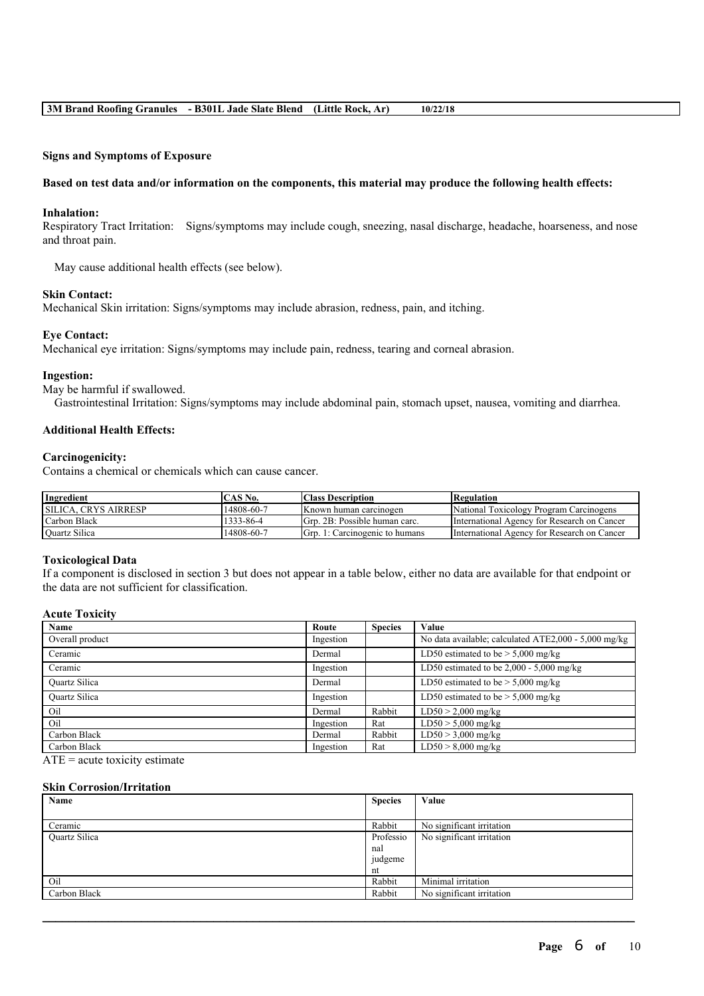#### **Signs and Symptoms of Exposure**

#### Based on test data and/or information on the components, this material may produce the following health effects:

#### **Inhalation:**

Respiratory Tract Irritation: Signs/symptoms may include cough, sneezing, nasal discharge, headache, hoarseness, and nose and throat pain.

May cause additional health effects (see below).

#### **Skin Contact:**

Mechanical Skin irritation: Signs/symptoms may include abrasion, redness, pain, and itching.

#### **Eye Contact:**

Mechanical eye irritation: Signs/symptoms may include pain, redness, tearing and corneal abrasion.

#### **Ingestion:**

May be harmful if swallowed.

Gastrointestinal Irritation: Signs/symptoms may include abdominal pain, stomach upset, nausea, vomiting and diarrhea.

#### **Additional Health Effects:**

#### **Carcinogenicity:**

Contains a chemical or chemicals which can cause cancer.

| Ingredient                  | $CAS$ No.  | <b>Class Description</b>       | Regulation                                  |
|-----------------------------|------------|--------------------------------|---------------------------------------------|
| <b>SILICA. CRYS AIRRESP</b> | 14808-60-7 | Known human carcinogen         | National Toxicology Program Carcinogens     |
| Carbon Black                | 1333-86-4  | Grp. 2B: Possible human carc.  | International Agency for Research on Cancer |
| <b>Ouartz Silica</b>        | 14808-60-7 | Gro. 1: Carcinogenic to humans | International Agency for Research on Cancer |

#### **Toxicological Data**

If a component is disclosed in section 3 but does not appear in a table below, either no data are available for that endpoint or the data are not sufficient for classification.

### **Acute Toxicity**

| Name                 | Route     | <b>Species</b> | Value                                                |
|----------------------|-----------|----------------|------------------------------------------------------|
| Overall product      | Ingestion |                | No data available; calculated ATE2,000 - 5,000 mg/kg |
| Ceramic              | Dermal    |                | LD50 estimated to be $> 5,000$ mg/kg                 |
| Ceramic              | Ingestion |                | LD50 estimated to be $2,000 - 5,000$ mg/kg           |
| <b>Ouartz Silica</b> | Dermal    |                | LD50 estimated to be $> 5,000$ mg/kg                 |
| <b>Ouartz Silica</b> | Ingestion |                | LD50 estimated to be $> 5,000$ mg/kg                 |
| Oil                  | Dermal    | Rabbit         | $LD50 > 2,000$ mg/kg                                 |
| Oil                  | Ingestion | Rat            | $LD50 > 5,000$ mg/kg                                 |
| Carbon Black         | Dermal    | Rabbit         | $LD50 > 3,000$ mg/kg                                 |
| Carbon Black         | Ingestion | Rat            | $LD50 > 8,000$ mg/kg                                 |

 $ATE = acute$  toxicity estimate

#### **Skin Corrosion/Irritation**

| Name                 | <b>Species</b> | Value                     |
|----------------------|----------------|---------------------------|
|                      |                |                           |
| Ceramic              | Rabbit         | No significant irritation |
| <b>Ouartz Silica</b> | Professio      | No significant irritation |
|                      | nal            |                           |
|                      | judgeme        |                           |
|                      | nt             |                           |
| Oil                  | Rabbit         | Minimal irritation        |
| Carbon Black         | Rabbit         | No significant irritation |
|                      |                |                           |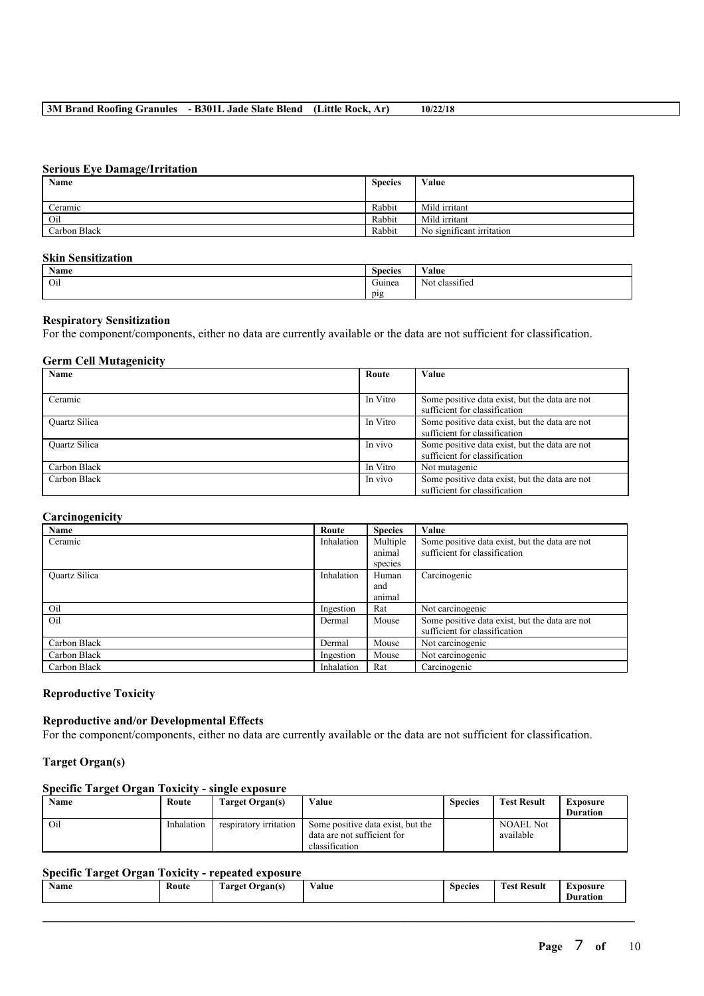### **Serious Eye Damage/Irritation**

| Name         | <b>Species</b> | Value                     |
|--------------|----------------|---------------------------|
|              |                |                           |
| Ceramic      | Rabbit         | Mild irritant             |
| Oil          | Rabbit         | Mild irritant             |
| Carbon Black | Rabbit         | No significant irritation |

# **Skin Sensitization**

| <b>Name</b> | $\sim$<br><b>Species</b> | <b>WY 3</b><br>Value        |
|-------------|--------------------------|-----------------------------|
| Oil         | $\sim$<br>Guinea         | $\sim$<br>Not<br>classified |
|             | $p_1g$<br>.              |                             |

#### **Respiratory Sensitization**

For the component/components, either no data are currently available or the data are not sufficient for classification.

# **Germ Cell Mutagenicity**

| Name                 | Route    | Value                                          |
|----------------------|----------|------------------------------------------------|
|                      |          |                                                |
| Ceramic              | In Vitro | Some positive data exist, but the data are not |
|                      |          | sufficient for classification                  |
| <b>Ouartz Silica</b> | In Vitro | Some positive data exist, but the data are not |
|                      |          | sufficient for classification                  |
| <b>Ouartz Silica</b> | In vivo  | Some positive data exist, but the data are not |
|                      |          | sufficient for classification                  |
| Carbon Black         | In Vitro | Not mutagenic                                  |
| Carbon Black         | In vivo  | Some positive data exist, but the data are not |
|                      |          | sufficient for classification                  |

### **Carcinogenicity**

| Name                 | Route      | <b>Species</b> | Value                                          |
|----------------------|------------|----------------|------------------------------------------------|
| Ceramic              | Inhalation | Multiple       | Some positive data exist, but the data are not |
|                      |            | animal         | sufficient for classification                  |
|                      |            | species        |                                                |
| <b>Ouartz Silica</b> | Inhalation | Human          | Carcinogenic                                   |
|                      |            | and            |                                                |
|                      |            | animal         |                                                |
| Oil                  | Ingestion  | Rat            | Not carcinogenic                               |
| Oil                  | Dermal     | Mouse          | Some positive data exist, but the data are not |
|                      |            |                | sufficient for classification                  |
| Carbon Black         | Dermal     | Mouse          | Not carcinogenic                               |
| Carbon Black         | Ingestion  | Mouse          | Not carcinogenic                               |
| Carbon Black         | Inhalation | Rat            | Carcinogenic                                   |

#### **Reproductive Toxicity**

### **Reproductive and/or Developmental Effects**

For the component/components, either no data are currently available or the data are not sufficient for classification.

#### **Target Organ(s)**

# **Specific Target Organ Toxicity - single exposure**

| Name | Route      | Target Organ(s)        | Value                             | <b>Species</b> | <b>Test Result</b> | Exposure        |
|------|------------|------------------------|-----------------------------------|----------------|--------------------|-----------------|
|      |            |                        |                                   |                |                    | <b>Duration</b> |
| Oil  | Inhalation | respiratory irritation | Some positive data exist, but the |                | <b>NOAEL Not</b>   |                 |
|      |            |                        | data are not sufficient for       |                | available          |                 |
|      |            |                        | classification                    |                |                    |                 |

# **Specific Target Organ Toxicity - repeated exposure**

| -<br>Route<br>Target<br>Drgan(s)<br>. | $ -$<br>Value<br>$\cdots$ | $\sim$<br><b>Species</b> | Result<br><b>CONTRACT</b><br>l'est<br>. | <b>Exposure</b><br>Duration |
|---------------------------------------|---------------------------|--------------------------|-----------------------------------------|-----------------------------|
|---------------------------------------|---------------------------|--------------------------|-----------------------------------------|-----------------------------|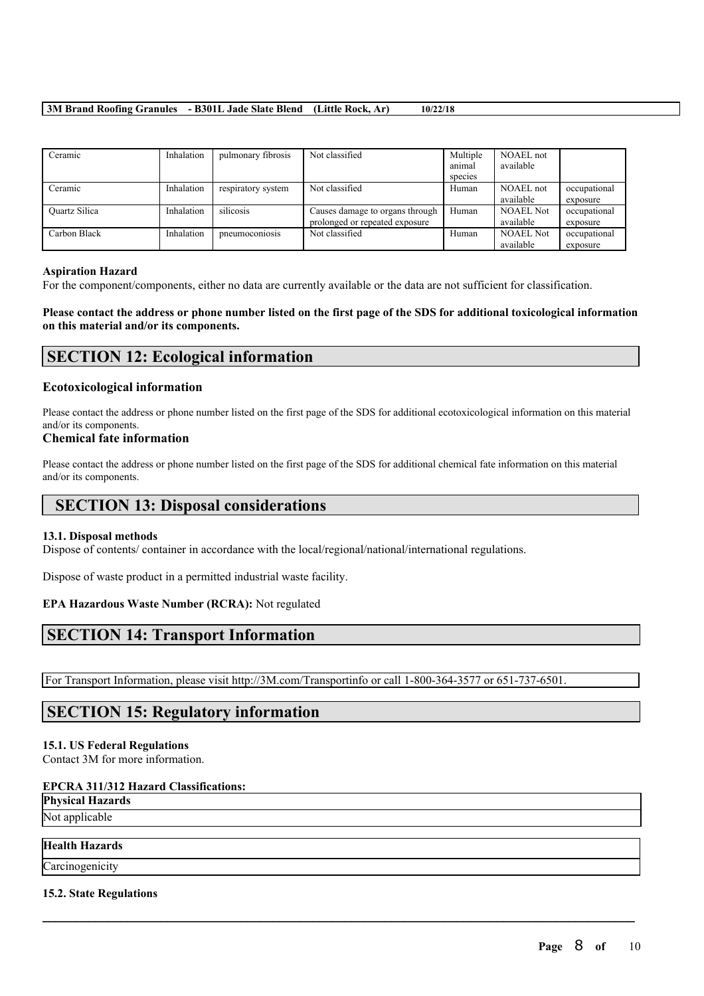| Ceramic              | Inhalation | pulmonary fibrosis | Not classified                  | Multiple<br>animal | NOAEL not<br>available |              |
|----------------------|------------|--------------------|---------------------------------|--------------------|------------------------|--------------|
|                      |            |                    |                                 |                    |                        |              |
|                      |            |                    |                                 | species            |                        |              |
| Ceramic              | Inhalation | respiratory system | Not classified                  | Human              | NOAEL not              | occupational |
|                      |            |                    |                                 |                    | available              | exposure     |
| <b>Ouartz Silica</b> | Inhalation | silicosis          | Causes damage to organs through | Human              | <b>NOAEL Not</b>       | occupational |
|                      |            |                    | prolonged or repeated exposure  |                    | available              | exposure     |
| Carbon Black         | Inhalation | pneumoconiosis     | Not classified                  | Human              | <b>NOAEL Not</b>       | occupational |
|                      |            |                    |                                 |                    | available              | exposure     |

#### **Aspiration Hazard**

For the component/components, either no data are currently available or the data are not sufficient for classification.

Please contact the address or phone number listed on the first page of the SDS for additional toxicological information **on this material and/or its components.**

# **SECTION 12: Ecological information**

#### **Ecotoxicological information**

Please contact the address or phone number listed on the first page of the SDS for additional ecotoxicological information on this material and/or its components.

### **Chemical fate information**

Please contact the address or phone number listed on the first page of the SDS for additional chemical fate information on this material and/or its components.

# **SECTION 13: Disposal considerations**

### **13.1. Disposal methods**

Dispose of contents/ container in accordance with the local/regional/national/international regulations.

Dispose of waste product in a permitted industrial waste facility.

### **EPA Hazardous Waste Number (RCRA):** Not regulated

# **SECTION 14: Transport Information**

For Transport Information, please visit http://3M.com/Transportinfo or call 1-800-364-3577 or 651-737-6501.

 $\mathcal{L}_\mathcal{L} = \mathcal{L}_\mathcal{L} = \mathcal{L}_\mathcal{L} = \mathcal{L}_\mathcal{L} = \mathcal{L}_\mathcal{L} = \mathcal{L}_\mathcal{L} = \mathcal{L}_\mathcal{L} = \mathcal{L}_\mathcal{L} = \mathcal{L}_\mathcal{L} = \mathcal{L}_\mathcal{L} = \mathcal{L}_\mathcal{L} = \mathcal{L}_\mathcal{L} = \mathcal{L}_\mathcal{L} = \mathcal{L}_\mathcal{L} = \mathcal{L}_\mathcal{L} = \mathcal{L}_\mathcal{L} = \mathcal{L}_\mathcal{L}$ 

# **SECTION 15: Regulatory information**

## **15.1. US Federal Regulations**

Contact 3M for more information.

# **EPCRA 311/312 Hazard Classifications:**

**Physical Hazards**

Not applicable

# **Health Hazards**

Carcinogenicity

### **15.2. State Regulations**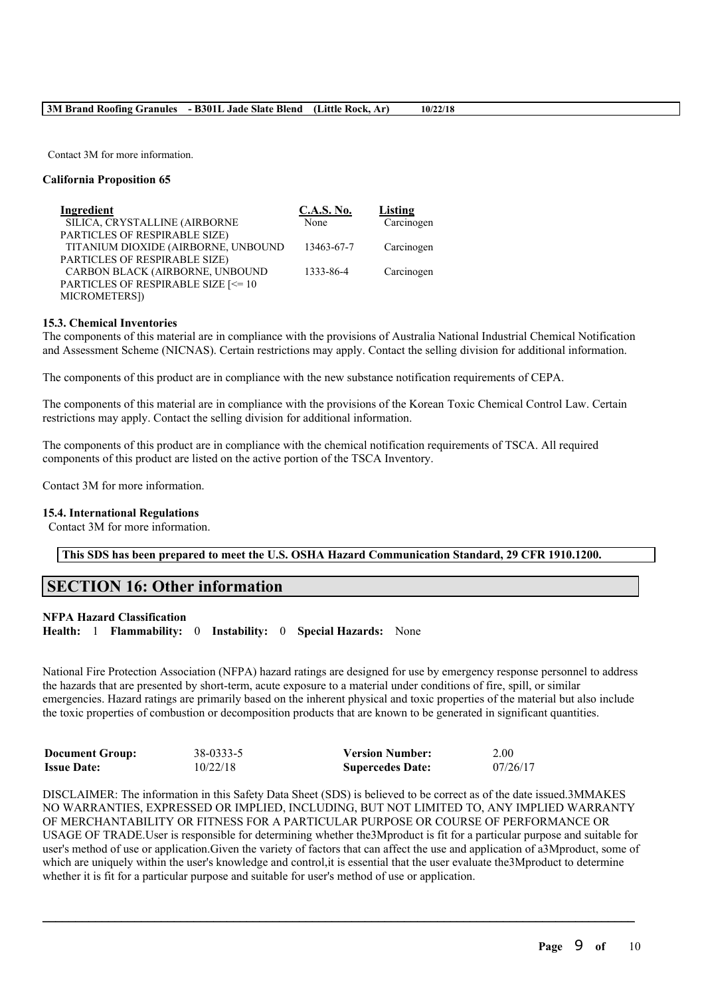Contact 3M for more information.

### **California Proposition 65**

| Ingredient                          | <b>C.A.S. No.</b> | Listing    |
|-------------------------------------|-------------------|------------|
| SILICA, CRYSTALLINE (AIRBORNE       | None              | Carcinogen |
| PARTICLES OF RESPIRABLE SIZE)       |                   |            |
| TITANIUM DIOXIDE (AIRBORNE, UNBOUND | 13463-67-7        | Carcinogen |
| PARTICLES OF RESPIRABLE SIZE)       |                   |            |
| CARBON BLACK (AIRBORNE, UNBOUND     | 1333-86-4         | Carcinogen |
| PARTICLES OF RESPIRABLE SIZE [<= 10 |                   |            |
| MICROMETERS])                       |                   |            |

#### **15.3. Chemical Inventories**

The components of this material are in compliance with the provisions of Australia National Industrial Chemical Notification and Assessment Scheme (NICNAS). Certain restrictions may apply. Contact the selling division for additional information.

The components of this product are in compliance with the new substance notification requirements of CEPA.

The components of this material are in compliance with the provisions of the Korean Toxic Chemical Control Law. Certain restrictions may apply. Contact the selling division for additional information.

The components of this product are in compliance with the chemical notification requirements of TSCA. All required components of this product are listed on the active portion of the TSCA Inventory.

Contact 3M for more information.

#### **15.4. International Regulations**

Contact 3M for more information.

**This SDS has been prepared to meet the U.S. OSHA Hazard Communication Standard, 29 CFR 1910.1200.**

# **SECTION 16: Other information**

#### **NFPA Hazard Classification**

**Health:** 1 **Flammability:** 0 **Instability:** 0 **Special Hazards:** None

National Fire Protection Association (NFPA) hazard ratings are designed for use by emergency response personnel to address the hazards that are presented by short-term, acute exposure to a material under conditions of fire, spill, or similar emergencies. Hazard ratings are primarily based on the inherent physical and toxic properties of the material but also include the toxic properties of combustion or decomposition products that are known to be generated in significant quantities.

| <b>Document Group:</b> | 38-0333-5 | <b>Version Number:</b>  | 2.00     |
|------------------------|-----------|-------------------------|----------|
| <b>Issue Date:</b>     | 10/22/18  | <b>Supercedes Date:</b> | 07/26/17 |

DISCLAIMER: The information in this Safety Data Sheet (SDS) is believed to be correct as of the date issued.3MMAKES NO WARRANTIES, EXPRESSED OR IMPLIED, INCLUDING, BUT NOT LIMITED TO, ANY IMPLIED WARRANTY OF MERCHANTABILITY OR FITNESS FOR A PARTICULAR PURPOSE OR COURSE OF PERFORMANCE OR USAGE OF TRADE.User is responsible for determining whether the3Mproduct is fit for a particular purpose and suitable for user's method of use or application.Given the variety of factors that can affect the use and application of a3Mproduct, some of which are uniquely within the user's knowledge and control, it is essential that the user evaluate the 3Mproduct to determine whether it is fit for a particular purpose and suitable for user's method of use or application.